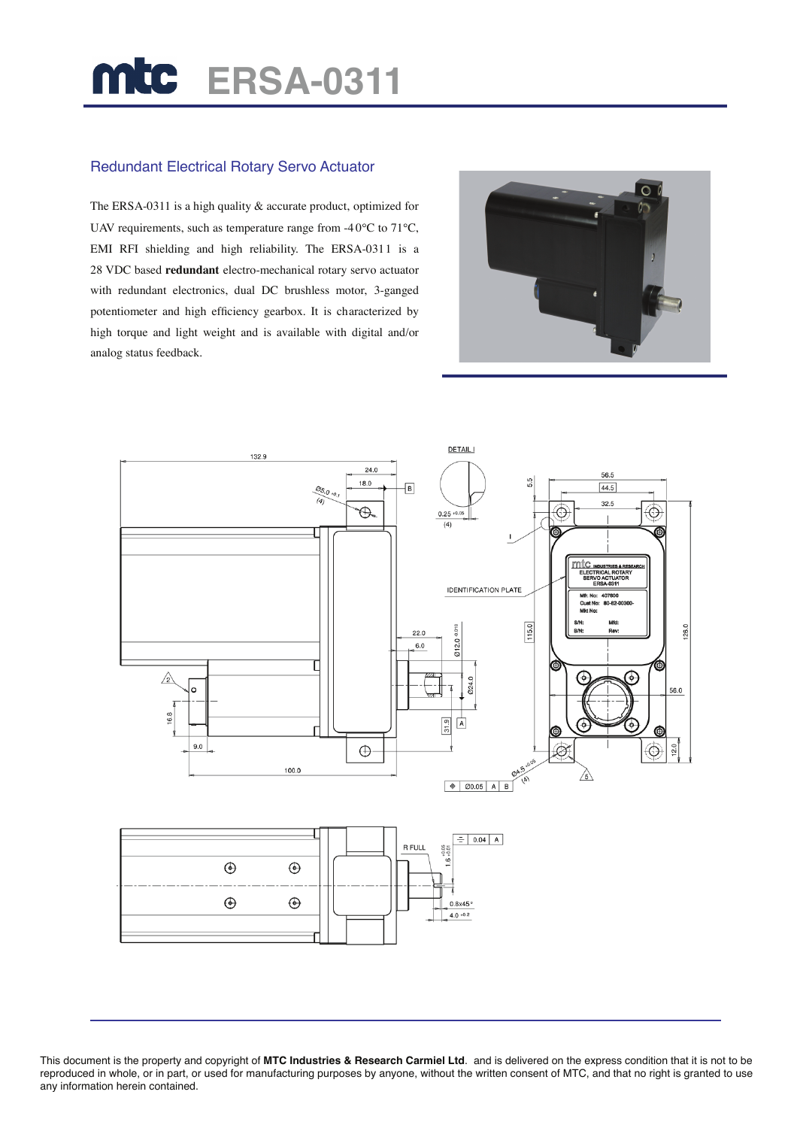## **ERSA-0311**

## Redundant Electrical Rotary Servo Actuator

The ERSA-0311 is a high quality & accurate product, optimized for UAV requirements, such as temperature range from -40 $\rm ^{o}C$  to 71 $\rm ^{o}C$ , EMI RFI shielding and high reliability. The ERSA-0311 is a 28 VDC based **redundant** electro-mechanical rotary servo actuator with redundant electronics, dual DC brushless motor, 3-ganged potentiometer and high efficiency gearbox. It is characterized by high torque and light weight and is available with digital and/or analog status feedback.





This document is the property and copyright of **MTC Industries & Research Carmiel Ltd**. and is delivered on the express condition that it is not to be reproduced in whole, or in part, or used for manufacturing purposes by anyone, without the written consent of MTC, and that no right is granted to use any information herein contained.